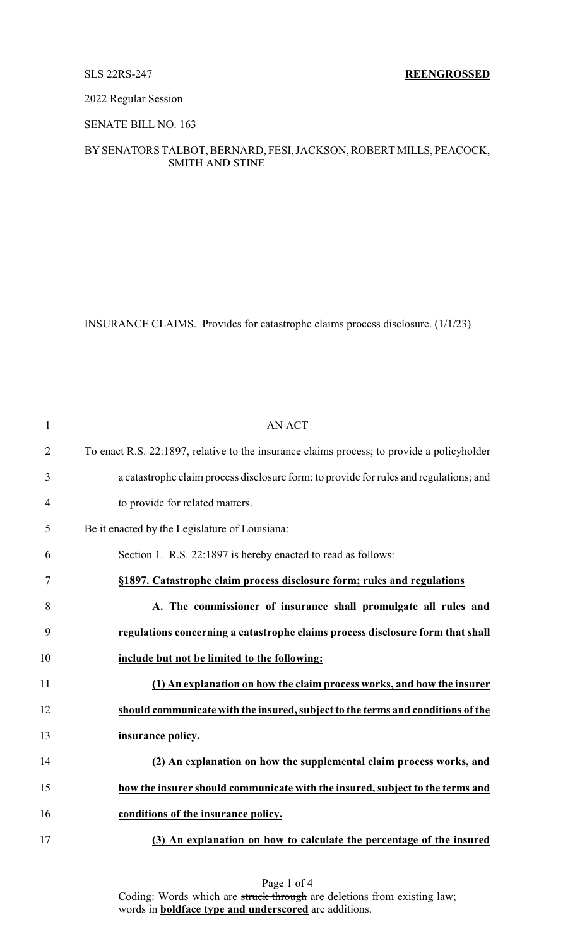### 2022 Regular Session

# SENATE BILL NO. 163

# BYSENATORS TALBOT, BERNARD, FESI, JACKSON, ROBERT MILLS, PEACOCK, SMITH AND STINE

INSURANCE CLAIMS. Provides for catastrophe claims process disclosure. (1/1/23)

| $\mathbf{1}$   | <b>AN ACT</b>                                                                              |
|----------------|--------------------------------------------------------------------------------------------|
| $\overline{2}$ | To enact R.S. 22:1897, relative to the insurance claims process; to provide a policyholder |
| 3              | a catastrophe claim process disclosure form; to provide for rules and regulations; and     |
| $\overline{4}$ | to provide for related matters.                                                            |
| 5              | Be it enacted by the Legislature of Louisiana:                                             |
| 6              | Section 1. R.S. 22:1897 is hereby enacted to read as follows:                              |
| 7              | §1897. Catastrophe claim process disclosure form; rules and regulations                    |
| 8              | A. The commissioner of insurance shall promulgate all rules and                            |
| 9              | regulations concerning a catastrophe claims process disclosure form that shall             |
| 10             | include but not be limited to the following:                                               |
| 11             | (1) An explanation on how the claim process works, and how the insurer                     |
| 12             | should communicate with the insured, subject to the terms and conditions of the            |
| 13             | insurance policy.                                                                          |
| 14             | (2) An explanation on how the supplemental claim process works, and                        |
| 15             | how the insurer should communicate with the insured, subject to the terms and              |
| 16             | conditions of the insurance policy.                                                        |
| 17             | (3) An explanation on how to calculate the percentage of the insured                       |

Page 1 of 4 Coding: Words which are struck through are deletions from existing law; words in **boldface type and underscored** are additions.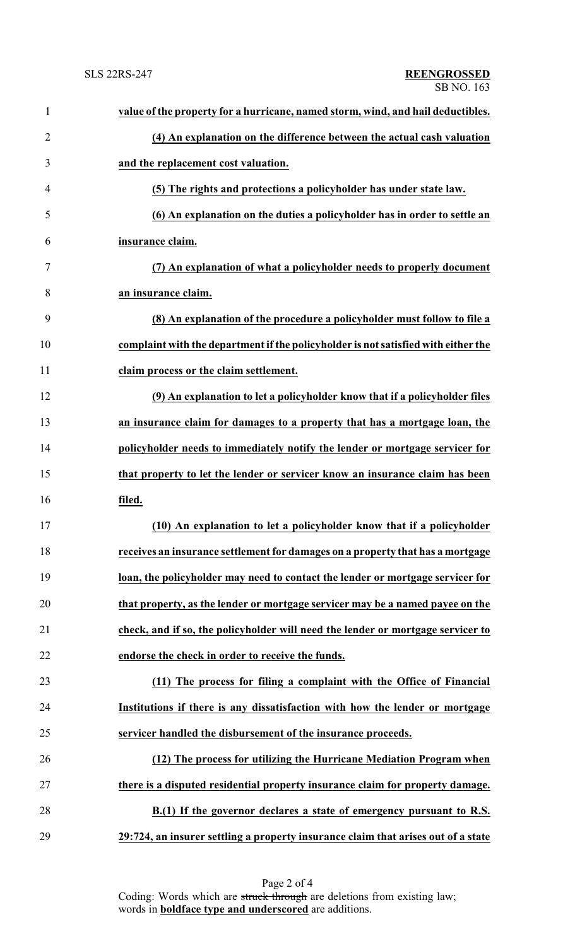| $\mathbf{1}$   | value of the property for a hurricane, named storm, wind, and hail deductibles.    |
|----------------|------------------------------------------------------------------------------------|
| $\overline{2}$ | (4) An explanation on the difference between the actual cash valuation             |
| 3              | and the replacement cost valuation.                                                |
| $\overline{4}$ | (5) The rights and protections a policyholder has under state law.                 |
| 5              | (6) An explanation on the duties a policyholder has in order to settle an          |
| 6              | insurance claim.                                                                   |
| 7              | (7) An explanation of what a policyholder needs to properly document               |
| 8              | an insurance claim.                                                                |
| 9              | (8) An explanation of the procedure a policyholder must follow to file a           |
| 10             | complaint with the department if the policyholder is not satisfied with either the |
| 11             | claim process or the claim settlement.                                             |
| 12             | (9) An explanation to let a policyholder know that if a policyholder files         |
| 13             | an insurance claim for damages to a property that has a mortgage loan, the         |
| 14             | policyholder needs to immediately notify the lender or mortgage servicer for       |
| 15             | that property to let the lender or servicer know an insurance claim has been       |
| 16             | filed.                                                                             |
| 17             | (10) An explanation to let a policyholder know that if a policyholder              |
| 18             | receives an insurance settlement for damages on a property that has a mortgage     |
| 19             | loan, the policyholder may need to contact the lender or mortgage servicer for     |
| 20             | that property, as the lender or mortgage servicer may be a named payee on the      |
| 21             | check, and if so, the policyholder will need the lender or mortgage servicer to    |
| 22             | endorse the check in order to receive the funds.                                   |
| 23             | (11) The process for filing a complaint with the Office of Financial               |
| 24             | Institutions if there is any dissatisfaction with how the lender or mortgage       |
| 25             | servicer handled the disbursement of the insurance proceeds.                       |
| 26             | (12) The process for utilizing the Hurricane Mediation Program when                |
| 27             | there is a disputed residential property insurance claim for property damage.      |
| 28             | B.(1) If the governor declares a state of emergency pursuant to R.S.               |
| 29             | 29:724, an insurer settling a property insurance claim that arises out of a state  |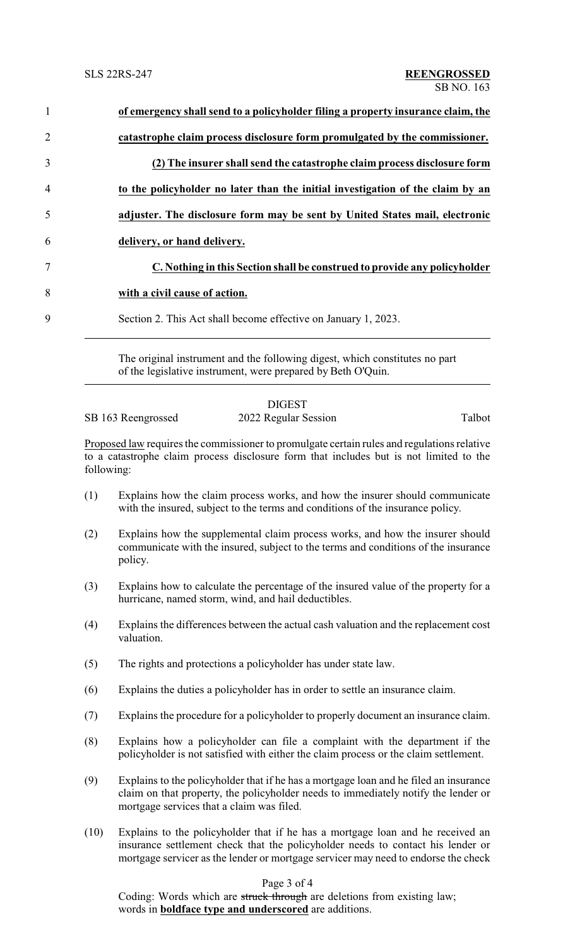| $\mathbf{1}$   | of emergency shall send to a policyholder filing a property insurance claim, the |
|----------------|----------------------------------------------------------------------------------|
| $\overline{2}$ | catastrophe claim process disclosure form promulgated by the commissioner.       |
| $\overline{3}$ | (2) The insurer shall send the catastrophe claim process disclosure form         |
| 4              | to the policyholder no later than the initial investigation of the claim by an   |
| 5              | adjuster. The disclosure form may be sent by United States mail, electronic      |
| 6              | delivery, or hand delivery.                                                      |
| 7              | C. Nothing in this Section shall be construed to provide any policyholder        |
| 8              | with a civil cause of action.                                                    |
| 9              | Section 2. This Act shall become effective on January 1, 2023.                   |
|                |                                                                                  |

The original instrument and the following digest, which constitutes no part of the legislative instrument, were prepared by Beth O'Quin.

## DIGEST

SB 163 Reengrossed 2022 Regular Session Talbot

Proposed law requires the commissioner to promulgate certain rules and regulations relative to a catastrophe claim process disclosure form that includes but is not limited to the following:

- (1) Explains how the claim process works, and how the insurer should communicate with the insured, subject to the terms and conditions of the insurance policy.
- (2) Explains how the supplemental claim process works, and how the insurer should communicate with the insured, subject to the terms and conditions of the insurance policy.
- (3) Explains how to calculate the percentage of the insured value of the property for a hurricane, named storm, wind, and hail deductibles.
- (4) Explains the differences between the actual cash valuation and the replacement cost valuation.
- (5) The rights and protections a policyholder has under state law.
- (6) Explains the duties a policyholder has in order to settle an insurance claim.
- (7) Explains the procedure for a policyholder to properly document an insurance claim.
- (8) Explains how a policyholder can file a complaint with the department if the policyholder is not satisfied with either the claim process or the claim settlement.
- (9) Explains to the policyholder that if he has a mortgage loan and he filed an insurance claim on that property, the policyholder needs to immediately notify the lender or mortgage services that a claim was filed.
- (10) Explains to the policyholder that if he has a mortgage loan and he received an insurance settlement check that the policyholder needs to contact his lender or mortgage servicer as the lender or mortgage servicer may need to endorse the check

# Page 3 of 4

Coding: Words which are struck through are deletions from existing law; words in **boldface type and underscored** are additions.